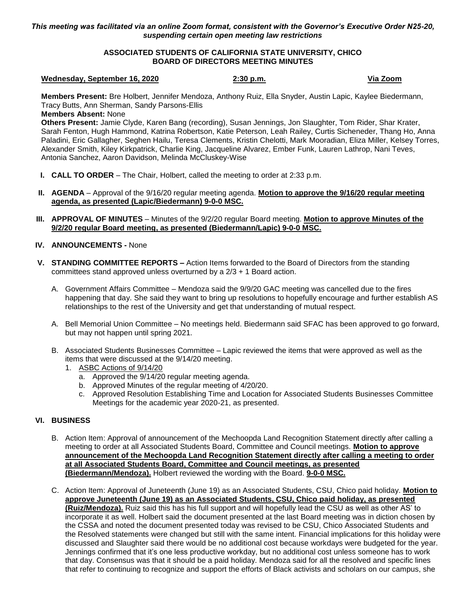*This meeting was facilitated via an online Zoom format, consistent with the Governor's Executive Order N25-20, suspending certain open meeting law restrictions*

# **ASSOCIATED STUDENTS OF CALIFORNIA STATE UNIVERSITY, CHICO BOARD OF DIRECTORS MEETING MINUTES**

#### **Wednesday, September 16, 2020 2:30 p.m. Via Zoom**

**Members Present:** Bre Holbert, Jennifer Mendoza, Anthony Ruiz, Ella Snyder, Austin Lapic, Kaylee Biedermann, Tracy Butts, Ann Sherman, Sandy Parsons-Ellis

## **Members Absent:** None

**Others Present:** Jamie Clyde, Karen Bang (recording), Susan Jennings, Jon Slaughter, Tom Rider, Shar Krater, Sarah Fenton, Hugh Hammond, Katrina Robertson, Katie Peterson, Leah Railey, Curtis Sicheneder, Thang Ho, Anna Paladini, Eric Gallagher, Seghen Hailu, Teresa Clements, Kristin Chelotti, Mark Mooradian, Eliza Miller, Kelsey Torres, Alexander Smith, Kiley Kirkpatrick, Charlie King, Jacqueline Alvarez, Ember Funk, Lauren Lathrop, Nani Teves, Antonia Sanchez, Aaron Davidson, Melinda McCluskey-Wise

- **I. CALL TO ORDER** The Chair, Holbert, called the meeting to order at 2:33 p.m.
- **II. AGENDA** Approval of the 9/16/20 regular meeting agenda. **Motion to approve the 9/16/20 regular meeting agenda, as presented (Lapic/Biedermann) 9-0-0 MSC.**
- **III. APPROVAL OF MINUTES** Minutes of the 9/2/20 regular Board meeting. Motion to approve Minutes of the **9/2/20 regular Board meeting, as presented (Biedermann/Lapic) 9-0-0 MSC.**

### **IV. ANNOUNCEMENTS -** None

- **V. STANDING COMMITTEE REPORTS –** Action Items forwarded to the Board of Directors from the standing committees stand approved unless overturned by a 2/3 + 1 Board action.
	- A. Government Affairs Committee Mendoza said the 9/9/20 GAC meeting was cancelled due to the fires happening that day. She said they want to bring up resolutions to hopefully encourage and further establish AS relationships to the rest of the University and get that understanding of mutual respect.
	- A. Bell Memorial Union Committee No meetings held. Biedermann said SFAC has been approved to go forward, but may not happen until spring 2021.
	- B. Associated Students Businesses Committee Lapic reviewed the items that were approved as well as the items that were discussed at the 9/14/20 meeting.
		- 1. ASBC Actions of 9/14/20
			- a. Approved the 9/14/20 regular meeting agenda.
			- b. Approved Minutes of the regular meeting of 4/20/20.
			- c. Approved Resolution Establishing Time and Location for Associated Students Businesses Committee Meetings for the academic year 2020-21, as presented.

#### **VI. BUSINESS**

- B. Action Item: Approval of announcement of the Mechoopda Land Recognition Statement directly after calling a meeting to order at all Associated Students Board, Committee and Council meetings. **Motion to approve announcement of the Mechoopda Land Recognition Statement directly after calling a meeting to order at all Associated Students Board, Committee and Council meetings, as presented (Biedermann/Mendoza).** Holbert reviewed the wording with the Board. **9-0-0 MSC.**
- C. Action Item: Approval of Juneteenth (June 19) as an Associated Students, CSU, Chico paid holiday. **Motion to approve Juneteenth (June 19) as an Associated Students, CSU, Chico paid holiday, as presented (Ruiz/Mendoza).** Ruiz said this has his full support and will hopefully lead the CSU as well as other AS' to incorporate it as well. Holbert said the document presented at the last Board meeting was in diction chosen by the CSSA and noted the document presented today was revised to be CSU, Chico Associated Students and the Resolved statements were changed but still with the same intent. Financial implications for this holiday were discussed and Slaughter said there would be no additional cost because workdays were budgeted for the year. Jennings confirmed that it's one less productive workday, but no additional cost unless someone has to work that day. Consensus was that it should be a paid holiday. Mendoza said for all the resolved and specific lines that refer to continuing to recognize and support the efforts of Black activists and scholars on our campus, she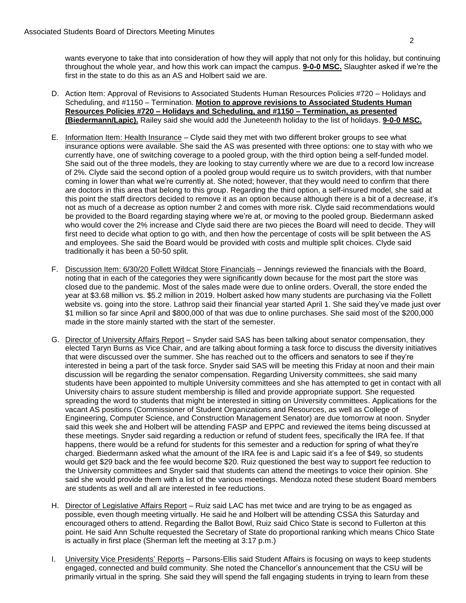wants everyone to take that into consideration of how they will apply that not only for this holiday, but continuing throughout the whole year, and how this work can impact the campus. **9-0-0 MSC.** Slaughter asked if we're the first in the state to do this as an AS and Holbert said we are.

- D. Action Item: Approval of Revisions to Associated Students Human Resources Policies #720 Holidays and Scheduling, and #1150 – Termination. **Motion to approve revisions to Associated Students Human Resources Policies #720 – Holidays and Scheduling, and #1150 – Termination, as presented (Biedermann/Lapic).** Railey said she would add the Juneteenth holiday to the list of holidays. **9-0-0 MSC.**
- E. Information Item: Health Insurance Clyde said they met with two different broker groups to see what insurance options were available. She said the AS was presented with three options: one to stay with who we currently have, one of switching coverage to a pooled group, with the third option being a self-funded model. She said out of the three models, they are looking to stay currently where we are due to a record low increase of 2%. Clyde said the second option of a pooled group would require us to switch providers, with that number coming in lower than what we're currently at. She noted; however, that they would need to confirm that there are doctors in this area that belong to this group. Regarding the third option, a self-insured model, she said at this point the staff directors decided to remove it as an option because although there is a bit of a decrease, it's not as much of a decrease as option number 2 and comes with more risk. Clyde said recommendations would be provided to the Board regarding staying where we're at, or moving to the pooled group. Biedermann asked who would cover the 2% increase and Clyde said there are two pieces the Board will need to decide. They will first need to decide what option to go with, and then how the percentage of costs will be split between the AS and employees. She said the Board would be provided with costs and multiple split choices. Clyde said traditionally it has been a 50-50 split.
- F. Discussion Item: 6/30/20 Follett Wildcat Store Financials Jennings reviewed the financials with the Board, noting that in each of the categories they were significantly down because for the most part the store was closed due to the pandemic. Most of the sales made were due to online orders. Overall, the store ended the year at \$3.68 million vs. \$5.2 million in 2019. Holbert asked how many students are purchasing via the Follett website vs. going into the store. Lathrop said their financial year started April 1. She said they've made just over \$1 million so far since April and \$800,000 of that was due to online purchases. She said most of the \$200,000 made in the store mainly started with the start of the semester.
- G. Director of University Affairs Report Snyder said SAS has been talking about senator compensation, they elected Taryn Burns as Vice Chair, and are talking about forming a task force to discuss the diversity initiatives that were discussed over the summer. She has reached out to the officers and senators to see if they're interested in being a part of the task force. Snyder said SAS will be meeting this Friday at noon and their main discussion will be regarding the senator compensation. Regarding University committees, she said many students have been appointed to multiple University committees and she has attempted to get in contact with all University chairs to assure student membership is filled and provide appropriate support. She requested spreading the word to students that might be interested in sitting on University committees. Applications for the vacant AS positions (Commissioner of Student Organizations and Resources, as well as College of Engineering, Computer Science, and Construction Management Senator) are due tomorrow at noon. Snyder said this week she and Holbert will be attending FASP and EPPC and reviewed the items being discussed at these meetings. Snyder said regarding a reduction or refund of student fees, specifically the IRA fee. If that happens, there would be a refund for students for this semester and a reduction for spring of what they're charged. Biedermann asked what the amount of the IRA fee is and Lapic said it's a fee of \$49, so students would get \$29 back and the fee would become \$20. Ruiz questioned the best way to support fee reduction to the University committees and Snyder said that students can attend the meetings to voice their opinion. She said she would provide them with a list of the various meetings. Mendoza noted these student Board members are students as well and all are interested in fee reductions.
- H. Director of Legislative Affairs Report Ruiz said LAC has met twice and are trying to be as engaged as possible, even though meeting virtually. He said he and Holbert will be attending CSSA this Saturday and encouraged others to attend. Regarding the Ballot Bowl, Ruiz said Chico State is second to Fullerton at this point. He said Ann Schulte requested the Secretary of State do proportional ranking which means Chico State is actually in first place (Sherman left the meeting at 3:17 p.m.)
- I. **University Vice Presidents' Reports** Parsons-Ellis said Student Affairs is focusing on ways to keep students engaged, connected and build community. She noted the Chancellor's announcement that the CSU will be primarily virtual in the spring. She said they will spend the fall engaging students in trying to learn from these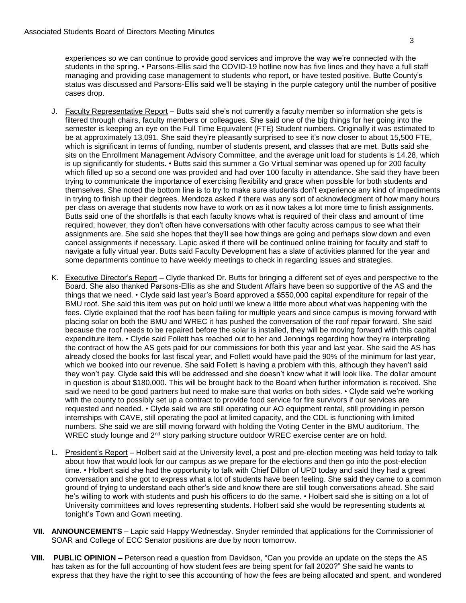experiences so we can continue to provide good services and improve the way we're connected with the students in the spring. • Parsons-Ellis said the COVID-19 hotline now has five lines and they have a full staff managing and providing case management to students who report, or have tested positive. Butte County's status was discussed and Parsons-Ellis said we'll be staying in the purple category until the number of positive cases drop.

- J. Faculty Representative Report Butts said she's not currently a faculty member so information she gets is filtered through chairs, faculty members or colleagues. She said one of the big things for her going into the semester is keeping an eye on the Full Time Equivalent (FTE) Student numbers. Originally it was estimated to be at approximately 13,091. She said they're pleasantly surprised to see it's now closer to about 15,500 FTE, which is significant in terms of funding, number of students present, and classes that are met. Butts said she sits on the Enrollment Management Advisory Committee, and the average unit load for students is 14.28, which is up significantly for students. • Butts said this summer a Go Virtual seminar was opened up for 200 faculty which filled up so a second one was provided and had over 100 faculty in attendance. She said they have been trying to communicate the importance of exercising flexibility and grace when possible for both students and themselves. She noted the bottom line is to try to make sure students don't experience any kind of impediments in trying to finish up their degrees. Mendoza asked if there was any sort of acknowledgment of how many hours per class on average that students now have to work on as it now takes a lot more time to finish assignments. Butts said one of the shortfalls is that each faculty knows what is required of their class and amount of time required; however, they don't often have conversations with other faculty across campus to see what their assignments are. She said she hopes that they'll see how things are going and perhaps slow down and even cancel assignments if necessary. Lapic asked if there will be continued online training for faculty and staff to navigate a fully virtual year. Butts said Faculty Development has a slate of activities planned for the year and some departments continue to have weekly meetings to check in regarding issues and strategies.
- K. Executive Director's Report Clyde thanked Dr. Butts for bringing a different set of eyes and perspective to the Board. She also thanked Parsons-Ellis as she and Student Affairs have been so supportive of the AS and the things that we need. • Clyde said last year's Board approved a \$550,000 capital expenditure for repair of the BMU roof. She said this item was put on hold until we knew a little more about what was happening with the fees. Clyde explained that the roof has been failing for multiple years and since campus is moving forward with placing solar on both the BMU and WREC it has pushed the conversation of the roof repair forward. She said because the roof needs to be repaired before the solar is installed, they will be moving forward with this capital expenditure item. • Clyde said Follett has reached out to her and Jennings regarding how they're interpreting the contract of how the AS gets paid for our commissions for both this year and last year. She said the AS has already closed the books for last fiscal year, and Follett would have paid the 90% of the minimum for last year, which we booked into our revenue. She said Follett is having a problem with this, although they haven't said they won't pay. Clyde said this will be addressed and she doesn't know what it will look like. The dollar amount in question is about \$180,000. This will be brought back to the Board when further information is received. She said we need to be good partners but need to make sure that works on both sides. • Clyde said we're working with the county to possibly set up a contract to provide food service for fire survivors if our services are requested and needed. • Clyde said we are still operating our AO equipment rental, still providing in person internships with CAVE, still operating the pool at limited capacity, and the CDL is functioning with limited numbers. She said we are still moving forward with holding the Voting Center in the BMU auditorium. The WREC study lounge and 2<sup>nd</sup> story parking structure outdoor WREC exercise center are on hold.
- L. President's Report Holbert said at the University level, a post and pre-election meeting was held today to talk about how that would look for our campus as we prepare for the elections and then go into the post-election time. • Holbert said she had the opportunity to talk with Chief Dillon of UPD today and said they had a great conversation and she got to express what a lot of students have been feeling. She said they came to a common ground of trying to understand each other's side and know there are still tough conversations ahead. She said he's willing to work with students and push his officers to do the same. • Holbert said she is sitting on a lot of University committees and loves representing students. Holbert said she would be representing students at tonight's Town and Gown meeting.
- **VII. ANNOUNCEMENTS** Lapic said Happy Wednesday. Snyder reminded that applications for the Commissioner of SOAR and College of ECC Senator positions are due by noon tomorrow.
- **VIII. PUBLIC OPINION –** Peterson read a question from Davidson, "Can you provide an update on the steps the AS has taken as for the full accounting of how student fees are being spent for fall 2020?" She said he wants to express that they have the right to see this accounting of how the fees are being allocated and spent, and wondered